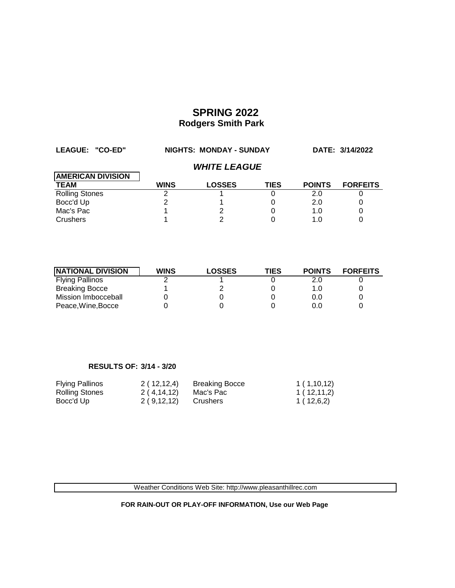| LEAGUE: "CO-ED"          | NIGHTS: MONDAY - SUNDAY    |               |             |               | DATE: 3/14/2022 |  |
|--------------------------|----------------------------|---------------|-------------|---------------|-----------------|--|
|                          | <b><i>WHITE LEAGUE</i></b> |               |             |               |                 |  |
| <b>AMERICAN DIVISION</b> |                            |               |             |               |                 |  |
| <b>TEAM</b>              | <b>WINS</b>                | <b>LOSSES</b> | <b>TIES</b> | <b>POINTS</b> | <b>FORFEITS</b> |  |
| <b>Rolling Stones</b>    |                            |               |             | 2.0           |                 |  |
| Bocc'd Up                |                            |               |             | 2.0           |                 |  |
| Mac's Pac                |                            |               |             | 1.0           | 0               |  |
| Crushers                 |                            |               |             | 1.0           |                 |  |

| <b>NATIONAL DIVISION</b> | <b>WINS</b> | <b>LOSSES</b> | TIES | <b>POINTS</b> | <b>FORFEITS</b> |
|--------------------------|-------------|---------------|------|---------------|-----------------|
| <b>Flying Pallinos</b>   |             |               |      | 2.0           |                 |
| <b>Breaking Bocce</b>    |             |               |      | 1.0           |                 |
| Mission Imbocceball      |             |               |      | 0.0           |                 |
| Peace, Wine, Bocce       |             |               |      | 0.0           |                 |

### **RESULTS OF: 3/14 - 3/20**

| <b>Flying Pallinos</b> | 2(12,12,4)   | <b>Breaking Bocce</b> | 1(1,10,12) |
|------------------------|--------------|-----------------------|------------|
| Rolling Stones         | 2 ( 4,14,12) | Mac's Pac             | 1(12,11,2) |
| Bocc'd Up              | 2 ( 9.12,12) | Crushers              | 1(12,6,2)  |

Weather Conditions Web Site: http://www.pleasanthillrec.com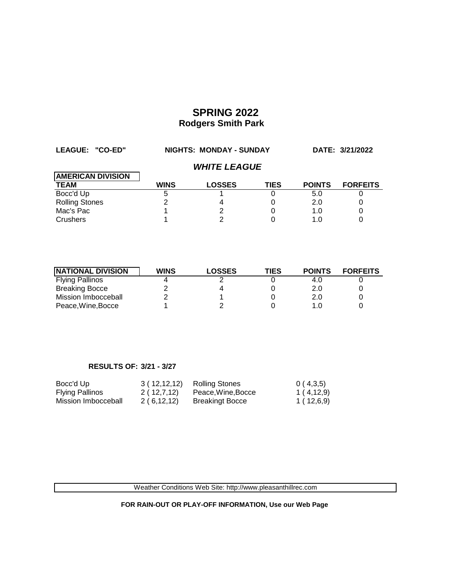| LEAGUE: "CO-ED"          | NIGHTS: MONDAY - SUNDAY    |               |             |               | DATE: 3/21/2022 |  |
|--------------------------|----------------------------|---------------|-------------|---------------|-----------------|--|
|                          | <b><i>WHITE LEAGUE</i></b> |               |             |               |                 |  |
| <b>AMERICAN DIVISION</b> |                            |               |             |               |                 |  |
| <b>TEAM</b>              | <b>WINS</b>                | <b>LOSSES</b> | <b>TIES</b> | <b>POINTS</b> | <b>FORFEITS</b> |  |
| Bocc'd Up                |                            |               |             | 5.0           |                 |  |
| <b>Rolling Stones</b>    |                            | 4             |             | 2.0           |                 |  |
| Mac's Pac                |                            |               |             | 1.0           |                 |  |
| Crushers                 |                            |               |             | 1.0           |                 |  |

| <b>NATIONAL DIVISION</b> | <b>WINS</b> | <b>LOSSES</b> | TIES | <b>POINTS</b> | <b>FORFEITS</b> |
|--------------------------|-------------|---------------|------|---------------|-----------------|
| <b>Flying Pallinos</b>   |             |               |      | 4.O           |                 |
| <b>Breaking Bocce</b>    |             |               |      | 2.0           |                 |
| Mission Imbocceball      |             |               |      | 2.0           |                 |
| Peace, Wine, Bocce       |             |               |      |               |                 |

### **RESULTS OF: 3/21 - 3/27**

| Bocc'd Up              | 3(12,12,12) | Rolling Stones         | 0(4,3,5)    |
|------------------------|-------------|------------------------|-------------|
| <b>Flying Pallinos</b> | 2(12,7,12)  | Peace, Wine, Bocce     | 1 ( 4,12,9) |
| Mission Imbocceball    | 2(6,12,12)  | <b>Breakingt Bocce</b> | 1 ( 12,6,9) |

Weather Conditions Web Site: http://www.pleasanthillrec.com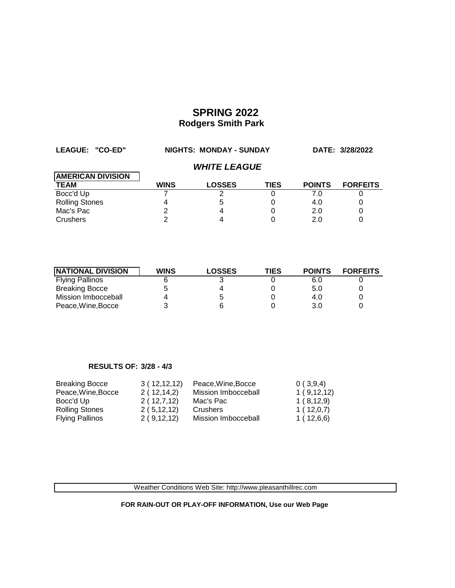| LEAGUE: "CO-ED"          | NIGHTS: MONDAY - SUNDAY    |               |             |               | DATE: 3/28/2022 |  |
|--------------------------|----------------------------|---------------|-------------|---------------|-----------------|--|
|                          | <b><i>WHITE LEAGUE</i></b> |               |             |               |                 |  |
| <b>AMERICAN DIVISION</b> |                            |               |             |               |                 |  |
| <b>TEAM</b>              | <b>WINS</b>                | <b>LOSSES</b> | <b>TIES</b> | <b>POINTS</b> | <b>FORFEITS</b> |  |
| Bocc'd Up                |                            |               | O)          | 7.0           |                 |  |
| <b>Rolling Stones</b>    |                            | 5             |             | 4.0           |                 |  |
| Mac's Pac                |                            |               |             | 2.0           |                 |  |
| Crushers                 |                            |               |             | 2.0           |                 |  |

| <b>NATIONAL DIVISION</b> | <b>WINS</b> | <b>LOSSES</b> | TIES | <b>POINTS</b> | <b>FORFEITS</b> |
|--------------------------|-------------|---------------|------|---------------|-----------------|
| <b>Flying Pallinos</b>   |             |               |      | 6.0           |                 |
| <b>Breaking Bocce</b>    |             |               |      | 5.0           |                 |
| Mission Imbocceball      |             | b             |      | 4.0           |                 |
| Peace, Wine, Bocce       |             |               |      | 3.0           |                 |

### **RESULTS OF: 3/28 - 4/3**

| <b>Breaking Bocce</b>  | 3(12,12,12)  | Peace, Wine, Bocce  | 0(3,9,4)   |
|------------------------|--------------|---------------------|------------|
| Peace, Wine, Bocce     | 2(12,14,2)   | Mission Imbocceball | 1(9,12,12) |
| Bocc'd Up              | 2(12,7,12)   | Mac's Pac           | 1(8,12,9)  |
| <b>Rolling Stones</b>  | 2(5, 12, 12) | Crushers            | 1(12,0,7)  |
| <b>Flying Pallinos</b> | 2(9,12,12)   | Mission Imbocceball | 1(12,6,6)  |

Weather Conditions Web Site: http://www.pleasanthillrec.com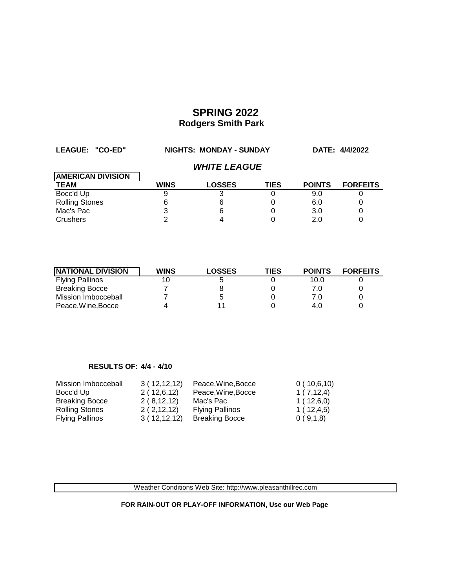| LEAGUE: "CO-ED"          | <b>NIGHTS: MONDAY - SUNDAY</b> |                            |             | DATE: 4/4/2022 |                 |
|--------------------------|--------------------------------|----------------------------|-------------|----------------|-----------------|
|                          |                                | <b><i>WHITE LEAGUE</i></b> |             |                |                 |
| <b>AMERICAN DIVISION</b> |                                |                            |             |                |                 |
| <b>TEAM</b>              | <b>WINS</b>                    | <b>LOSSES</b>              | <b>TIES</b> | <b>POINTS</b>  | <b>FORFEITS</b> |
| Bocc'd Up                |                                |                            |             | 9.0            |                 |
| <b>Rolling Stones</b>    | 6                              | 6                          |             | 6.0            |                 |
| Mac's Pac                |                                | 6                          |             | 3.0            | 0               |
| Crushers                 |                                |                            |             | 2.0            |                 |

| <b>NATIONAL DIVISION</b> | <b>WINS</b> | <b>LOSSES</b> | TIES | <b>POINTS</b> | <b>FORFEITS</b> |
|--------------------------|-------------|---------------|------|---------------|-----------------|
| <b>Flying Pallinos</b>   |             |               |      | 10.0          |                 |
| <b>Breaking Bocce</b>    |             |               |      | 7.0           |                 |
| Mission Imbocceball      |             | b             |      | 7.0           |                 |
| Peace, Wine, Bocce       |             |               |      | 4.0           |                 |

### **RESULTS OF: 4/4 - 4/10**

| Mission Imbocceball    | 3(12,12,12) | Peace, Wine, Bocce     | 0(10,6,10) |
|------------------------|-------------|------------------------|------------|
| Bocc'd Up              | 2(12,6,12)  | Peace, Wine, Bocce     | 1(7,12,4)  |
| <b>Breaking Bocce</b>  | 2(8,12,12)  | Mac's Pac              | 1(12,6,0)  |
| Rolling Stones         | 2(2,12,12)  | <b>Flying Pallinos</b> | 1(12,4,5)  |
| <b>Flying Pallinos</b> | 3(12,12,12) | <b>Breaking Bocce</b>  | 0(9,1,8)   |

Weather Conditions Web Site: http://www.pleasanthillrec.com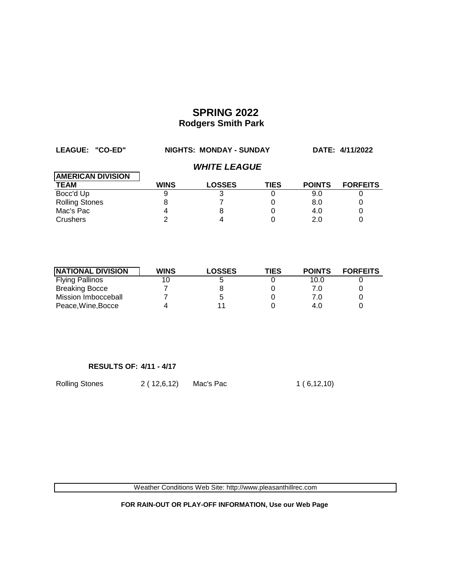| LEAGUE: "CO-ED"          | NIGHTS: MONDAY - SUNDAY    |               |             |               | DATE: 4/11/2022 |  |  |
|--------------------------|----------------------------|---------------|-------------|---------------|-----------------|--|--|
|                          | <b><i>WHITE LEAGUE</i></b> |               |             |               |                 |  |  |
| <b>AMERICAN DIVISION</b> |                            |               |             |               |                 |  |  |
| <b>TEAM</b>              | <b>WINS</b>                | <b>LOSSES</b> | <b>TIES</b> | <b>POINTS</b> | <b>FORFEITS</b> |  |  |
| Bocc'd Up                |                            |               |             | 9.0           |                 |  |  |
| <b>Rolling Stones</b>    |                            |               |             | 8.0           |                 |  |  |
| Mac's Pac                |                            | 8             |             | 4.0           |                 |  |  |
| Crushers                 |                            |               |             | 2 በ           |                 |  |  |

| <b>NATIONAL DIVISION</b> | <b>WINS</b> | <b>LOSSES</b> | TIES | <b>POINTS</b> | <b>FORFEITS</b> |
|--------------------------|-------------|---------------|------|---------------|-----------------|
| <b>Flying Pallinos</b>   |             | b             |      | 10.0          |                 |
| <b>Breaking Bocce</b>    |             |               |      | 7.0           |                 |
| Mission Imbocceball      |             | b             |      | 7.0           |                 |
| Peace, Wine, Bocce       |             |               |      | 4.0           |                 |

### **RESULTS OF: 4/11 - 4/17**

Rolling Stones 2 ( 12,6,12) Mac's Pac 1 ( 6,12,10)

Weather Conditions Web Site: http://www.pleasanthillrec.com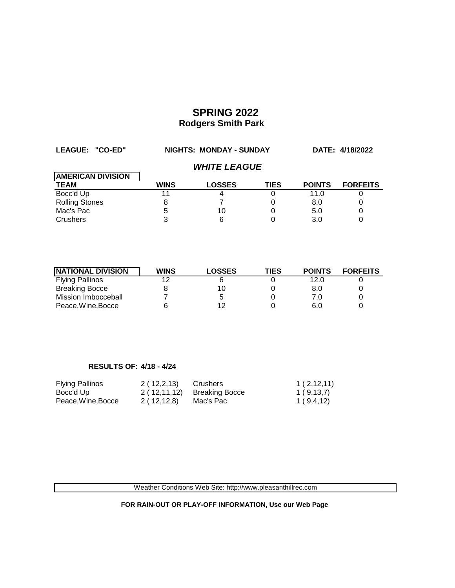| LEAGUE: "CO-ED"          | NIGHTS: MONDAY - SUNDAY |                            |             |               | DATE: 4/18/2022 |
|--------------------------|-------------------------|----------------------------|-------------|---------------|-----------------|
|                          |                         | <i><b>WHITE LEAGUE</b></i> |             |               |                 |
| <b>AMERICAN DIVISION</b> |                         |                            |             |               |                 |
| <b>TEAM</b>              | <b>WINS</b>             | <b>LOSSES</b>              | <b>TIES</b> | <b>POINTS</b> | <b>FORFEITS</b> |
| Bocc'd Up                |                         |                            |             | 11.0          |                 |
| <b>Rolling Stones</b>    | 8                       |                            |             | 8.0           |                 |
| Mac's Pac                | 5                       | 10                         |             | 5.0           |                 |
| <b>Crushers</b>          |                         |                            |             | 3.0           |                 |

| <b>NATIONAL DIVISION</b> | <b>WINS</b> | LOSSES | TIES | <b>POINTS</b> | <b>FORFEITS</b> |
|--------------------------|-------------|--------|------|---------------|-----------------|
| <b>Flying Pallinos</b>   | 12          |        |      | 12.0          |                 |
| <b>Breaking Bocce</b>    |             | 10     |      | 8.0           |                 |
| Mission Imbocceball      |             | 5      |      | 7.0           |                 |
| Peace, Wine, Bocce       |             | 12     |      | 6.0           |                 |

### **RESULTS OF: 4/18 - 4/24**

| <b>Flying Pallinos</b> | 2(12,2,13) | Crushers                     | 1(2,12,11)  |
|------------------------|------------|------------------------------|-------------|
| Bocc'd Up              |            | $2(12,11,12)$ Breaking Bocce | 1(9,13,7)   |
| Peace, Wine, Bocce     | 2(12,12,8) | Mac's Pac                    | 1 ( 9,4,12) |

Weather Conditions Web Site: http://www.pleasanthillrec.com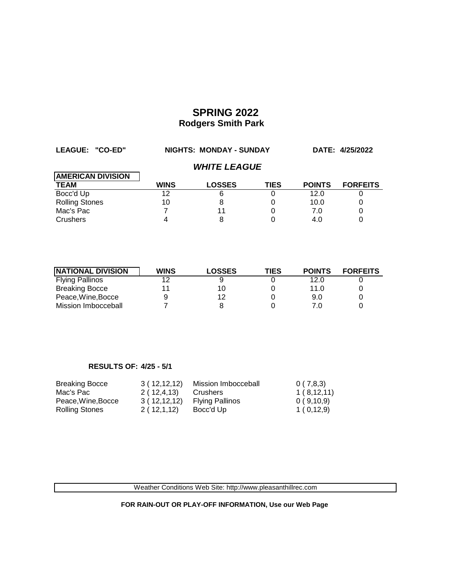| LEAGUE: "CO-ED"          | NIGHTS: MONDAY - SUNDAY |                     |             |               | DATE: 4/25/2022 |
|--------------------------|-------------------------|---------------------|-------------|---------------|-----------------|
|                          |                         | <b>WHITE LEAGUE</b> |             |               |                 |
| <b>AMERICAN DIVISION</b> |                         |                     |             |               |                 |
| <b>TEAM</b>              | <b>WINS</b>             | <b>LOSSES</b>       | <b>TIES</b> | <b>POINTS</b> | <b>FORFEITS</b> |
| Bocc'd Up                | 12                      | 6                   |             | 12.0          |                 |
| <b>Rolling Stones</b>    | 10                      | 8                   |             | 10.0          | 0               |
| Mac's Pac                |                         | 11                  |             | 7.0           | 0               |
| Crushers                 |                         | 8                   |             | 4.0           |                 |

| <b>NATIONAL DIVISION</b> | <b>WINS</b> | <b>LOSSES</b> | <b>TIES</b> | <b>POINTS</b> | <b>FORFEITS</b> |
|--------------------------|-------------|---------------|-------------|---------------|-----------------|
| <b>Flying Pallinos</b>   | 12          |               |             | 12.0          |                 |
| <b>Breaking Bocce</b>    |             | 10            |             | 11.0          |                 |
| Peace, Wine, Bocce       |             | 12            |             | 9.0           |                 |
| Mission Imbocceball      |             |               |             |               |                 |

### **RESULTS OF: 4/25 - 5/1**

| <b>Breaking Bocce</b> | 3(12,12,12)  | Mission Imbocceball    | 0(7,8,3)   |
|-----------------------|--------------|------------------------|------------|
| Mac's Pac             | 2(12, 4, 13) | Crushers               | 1(8,12,11) |
| Peace.Wine.Bocce      | 3(12,12,12)  | <b>Flying Pallinos</b> | 0(9,10,9)  |
| Rolling Stones        | 2(12,1,12)   | Bocc'd Up              | 1(0,12,9)  |

Weather Conditions Web Site: http://www.pleasanthillrec.com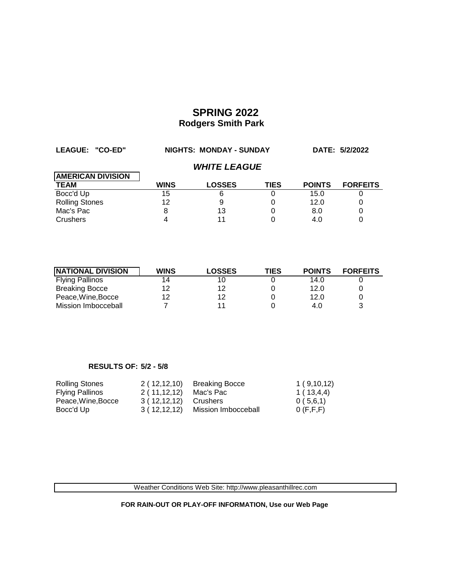| LEAGUE: "CO-ED"          | <b>NIGHTS: MONDAY - SUNDAY</b> |                            |             | DATE: 5/2/2022 |                 |
|--------------------------|--------------------------------|----------------------------|-------------|----------------|-----------------|
|                          |                                | <b><i>WHITE LEAGUE</i></b> |             |                |                 |
| <b>AMERICAN DIVISION</b> |                                |                            |             |                |                 |
| <b>TEAM</b>              | <b>WINS</b>                    | <b>LOSSES</b>              | <b>TIES</b> | <b>POINTS</b>  | <b>FORFEITS</b> |
| Bocc'd Up                | 15                             | 6                          |             | 15.0           |                 |
| <b>Rolling Stones</b>    | 12                             | 9                          |             | 12.0           | 0               |
| Mac's Pac                | 8                              | 13                         | 0           | 8.0            | 0               |
| Crushers                 |                                | 11                         |             | 4.0            |                 |

| <b>INATIONAL DIVISION</b> | <b>WINS</b> | <b>LOSSES</b> | TIES | <b>POINTS</b> | <b>FORFEITS</b> |
|---------------------------|-------------|---------------|------|---------------|-----------------|
| <b>Flying Pallinos</b>    | 14          | 10            |      | 14.0          |                 |
| <b>Breaking Bocce</b>     | 12          | 12            |      | 12.0          |                 |
| Peace, Wine, Bocce        | 12          | 12            |      | 12.0          |                 |
| Mission Imbocceball       |             |               |      | 4.0           |                 |

### **RESULTS OF: 5/2 - 5/8**

| Rolling Stones         | 2(12,12,10) | <b>Breaking Bocce</b> | 1(9,10,12)  |
|------------------------|-------------|-----------------------|-------------|
| <b>Flying Pallinos</b> | 2(11,12,12) | Mac's Pac             | 1 ( 13,4,4) |
| Peace, Wine, Bocce     | 3(12,12,12) | Crushers              | 0(5,6,1)    |
| Bocc'd Up              | 3(12,12,12) | Mission Imbocceball   | O(F, F, F)  |

Weather Conditions Web Site: http://www.pleasanthillrec.com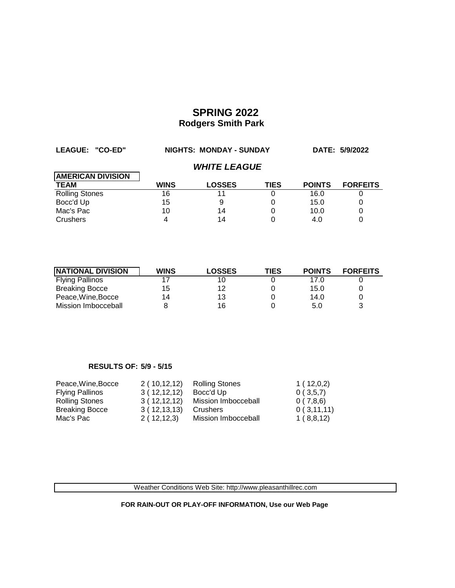| LEAGUE: "CO-ED"          | NIGHTS: MONDAY - SUNDAY |                            |             | DATE: 5/9/2022 |                 |
|--------------------------|-------------------------|----------------------------|-------------|----------------|-----------------|
|                          |                         | <b><i>WHITE LEAGUE</i></b> |             |                |                 |
| <b>AMERICAN DIVISION</b> |                         |                            |             |                |                 |
| <b>TEAM</b>              | <b>WINS</b>             | <b>LOSSES</b>              | <b>TIES</b> | <b>POINTS</b>  | <b>FORFEITS</b> |
| <b>Rolling Stones</b>    | 16                      | 11                         | 0           | 16.0           |                 |
| Bocc'd Up                | 15                      | 9                          | 0           | 15.0           |                 |
| Mac's Pac                | 10                      | 14                         | 0           | 10.0           | 0               |
| Crushers                 |                         | 14                         |             | 4.0            |                 |

| <b>INATIONAL DIVISION</b> | <b>WINS</b> | <b>LOSSES</b> | TIES | <b>POINTS</b> | <b>FORFEITS</b> |
|---------------------------|-------------|---------------|------|---------------|-----------------|
| <b>Flying Pallinos</b>    |             | 10            |      | 17.0          |                 |
| <b>Breaking Bocce</b>     | 15          | 12            |      | 15.0          |                 |
| Peace, Wine, Bocce        | 14          | 13            |      | 14.0          |                 |
| Mission Imbocceball       |             | 16            |      | 5.0           | ર               |

### **RESULTS OF: 5/9 - 5/15**

| Peace, Wine, Bocce     | 2(10,12,12) | <b>Rolling Stones</b> | 1(12,0,2)  |
|------------------------|-------------|-----------------------|------------|
| <b>Flying Pallinos</b> | 3(12,12,12) | Bocc'd Up             | 0(3,5,7)   |
| <b>Rolling Stones</b>  | 3(12,12,12) | Mission Imbocceball   | 0(7,8,6)   |
| <b>Breaking Bocce</b>  | 3(12,13,13) | Crushers              | 0(3,11,11) |
| Mac's Pac              | 2(12,12,3)  | Mission Imbocceball   | 1(8,8,12)  |

Weather Conditions Web Site: http://www.pleasanthillrec.com